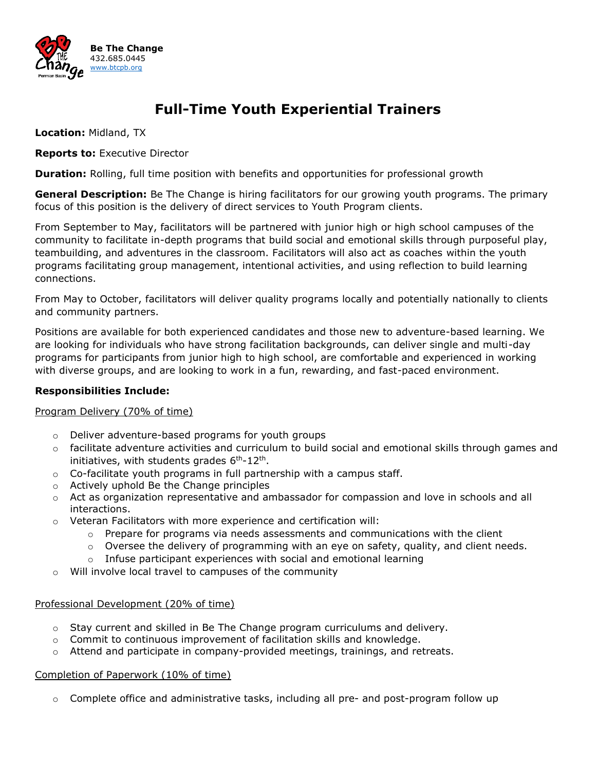

# **Full-Time Youth Experiential Trainers**

**Location:** Midland, TX

**Reports to:** Executive Director

**Duration:** Rolling, full time position with benefits and opportunities for professional growth

**General Description:** Be The Change is hiring facilitators for our growing youth programs. The primary focus of this position is the delivery of direct services to Youth Program clients.

From September to May, facilitators will be partnered with junior high or high school campuses of the community to facilitate in-depth programs that build social and emotional skills through purposeful play, teambuilding, and adventures in the classroom. Facilitators will also act as coaches within the youth programs facilitating group management, intentional activities, and using reflection to build learning connections.

From May to October, facilitators will deliver quality programs locally and potentially nationally to clients and community partners.

Positions are available for both experienced candidates and those new to adventure-based learning. We are looking for individuals who have strong facilitation backgrounds, can deliver single and multi-day programs for participants from junior high to high school, are comfortable and experienced in working with diverse groups, and are looking to work in a fun, rewarding, and fast-paced environment.

# **Responsibilities Include:**

# Program Delivery (70% of time)

- o Deliver adventure-based programs for youth groups
- $\circ$  facilitate adventure activities and curriculum to build social and emotional skills through games and initiatives, with students grades 6<sup>th</sup>-12<sup>th</sup>.
- o Co-facilitate youth programs in full partnership with a campus staff.
- o Actively uphold Be the Change principles
- o Act as organization representative and ambassador for compassion and love in schools and all interactions.
- $\circ$  Veteran Facilitators with more experience and certification will:
	- $\circ$  Prepare for programs via needs assessments and communications with the client
	- $\circ$  Oversee the delivery of programming with an eye on safety, quality, and client needs.
	- $\circ$  Infuse participant experiences with social and emotional learning
- o Will involve local travel to campuses of the community

# Professional Development (20% of time)

- $\circ$  Stay current and skilled in Be The Change program curriculums and delivery.
- $\circ$  Commit to continuous improvement of facilitation skills and knowledge.
- o Attend and participate in company-provided meetings, trainings, and retreats.

#### Completion of Paperwork (10% of time)

o Complete office and administrative tasks, including all pre- and post-program follow up